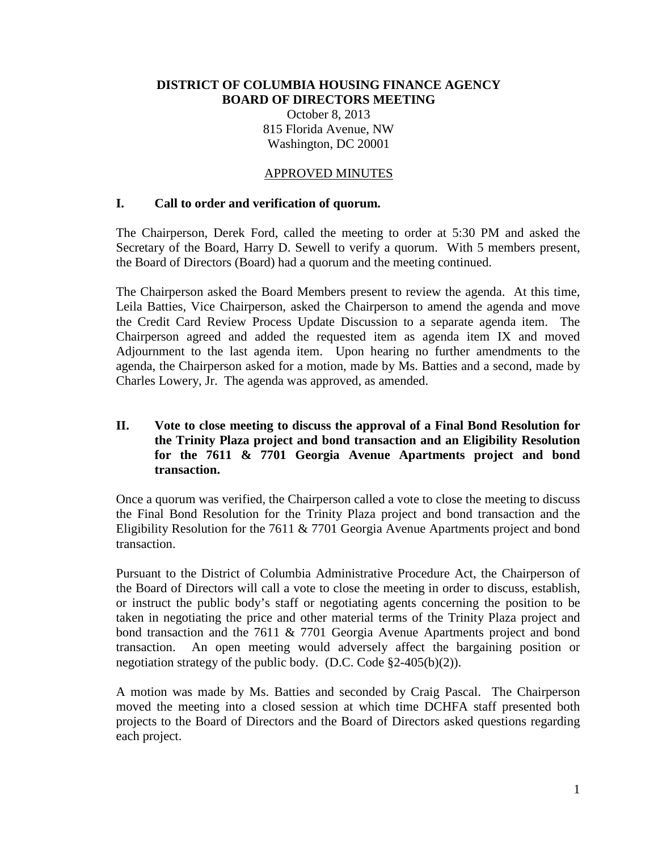#### **DISTRICT OF COLUMBIA HOUSING FINANCE AGENCY BOARD OF DIRECTORS MEETING**

October 8, 2013 815 Florida Avenue, NW Washington, DC 20001

#### APPROVED MINUTES

#### **I. Call to order and verification of quorum.**

The Chairperson, Derek Ford, called the meeting to order at 5:30 PM and asked the Secretary of the Board, Harry D. Sewell to verify a quorum. With 5 members present, the Board of Directors (Board) had a quorum and the meeting continued.

The Chairperson asked the Board Members present to review the agenda. At this time, Leila Batties, Vice Chairperson, asked the Chairperson to amend the agenda and move the Credit Card Review Process Update Discussion to a separate agenda item. The Chairperson agreed and added the requested item as agenda item IX and moved Adjournment to the last agenda item. Upon hearing no further amendments to the agenda, the Chairperson asked for a motion, made by Ms. Batties and a second, made by Charles Lowery, Jr. The agenda was approved, as amended.

#### **II. Vote to close meeting to discuss the approval of a Final Bond Resolution for the Trinity Plaza project and bond transaction and an Eligibility Resolution for the 7611 & 7701 Georgia Avenue Apartments project and bond transaction.**

Once a quorum was verified, the Chairperson called a vote to close the meeting to discuss the Final Bond Resolution for the Trinity Plaza project and bond transaction and the Eligibility Resolution for the 7611 & 7701 Georgia Avenue Apartments project and bond transaction.

Pursuant to the District of Columbia Administrative Procedure Act, the Chairperson of the Board of Directors will call a vote to close the meeting in order to discuss, establish, or instruct the public body's staff or negotiating agents concerning the position to be taken in negotiating the price and other material terms of the Trinity Plaza project and bond transaction and the 7611 & 7701 Georgia Avenue Apartments project and bond transaction. An open meeting would adversely affect the bargaining position or negotiation strategy of the public body. (D.C. Code §2-405(b)(2)).

A motion was made by Ms. Batties and seconded by Craig Pascal. The Chairperson moved the meeting into a closed session at which time DCHFA staff presented both projects to the Board of Directors and the Board of Directors asked questions regarding each project.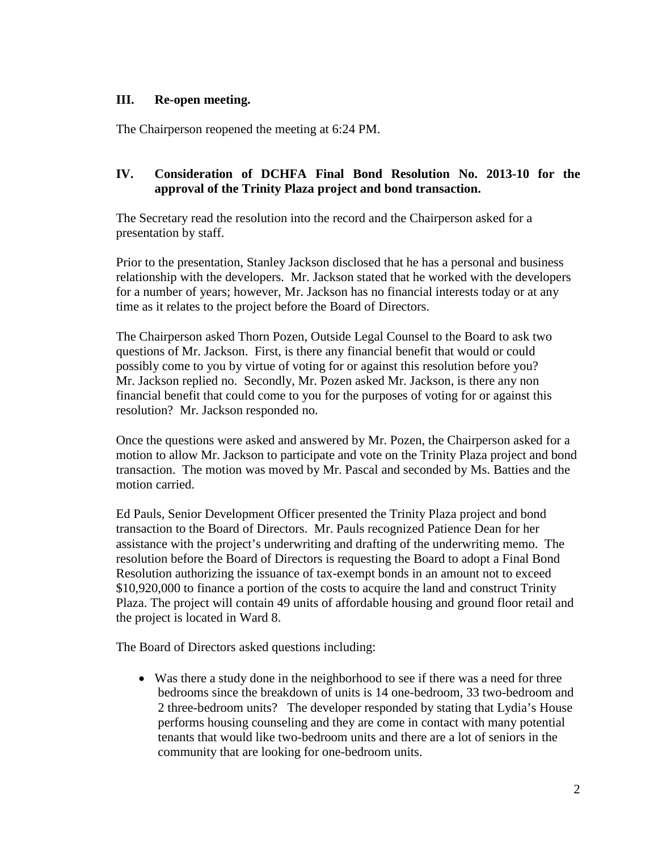### **III. Re-open meeting.**

The Chairperson reopened the meeting at 6:24 PM.

# **IV. Consideration of DCHFA Final Bond Resolution No. 2013-10 for the approval of the Trinity Plaza project and bond transaction.**

The Secretary read the resolution into the record and the Chairperson asked for a presentation by staff.

Prior to the presentation, Stanley Jackson disclosed that he has a personal and business relationship with the developers. Mr. Jackson stated that he worked with the developers for a number of years; however, Mr. Jackson has no financial interests today or at any time as it relates to the project before the Board of Directors.

The Chairperson asked Thorn Pozen, Outside Legal Counsel to the Board to ask two questions of Mr. Jackson. First, is there any financial benefit that would or could possibly come to you by virtue of voting for or against this resolution before you? Mr. Jackson replied no. Secondly, Mr. Pozen asked Mr. Jackson, is there any non financial benefit that could come to you for the purposes of voting for or against this resolution? Mr. Jackson responded no.

Once the questions were asked and answered by Mr. Pozen, the Chairperson asked for a motion to allow Mr. Jackson to participate and vote on the Trinity Plaza project and bond transaction. The motion was moved by Mr. Pascal and seconded by Ms. Batties and the motion carried.

Ed Pauls, Senior Development Officer presented the Trinity Plaza project and bond transaction to the Board of Directors. Mr. Pauls recognized Patience Dean for her assistance with the project's underwriting and drafting of the underwriting memo. The resolution before the Board of Directors is requesting the Board to adopt a Final Bond Resolution authorizing the issuance of tax-exempt bonds in an amount not to exceed \$10,920,000 to finance a portion of the costs to acquire the land and construct Trinity Plaza. The project will contain 49 units of affordable housing and ground floor retail and the project is located in Ward 8.

The Board of Directors asked questions including:

• Was there a study done in the neighborhood to see if there was a need for three bedrooms since the breakdown of units is 14 one-bedroom, 33 two-bedroom and 2 three-bedroom units? The developer responded by stating that Lydia's House performs housing counseling and they are come in contact with many potential tenants that would like two-bedroom units and there are a lot of seniors in the community that are looking for one-bedroom units.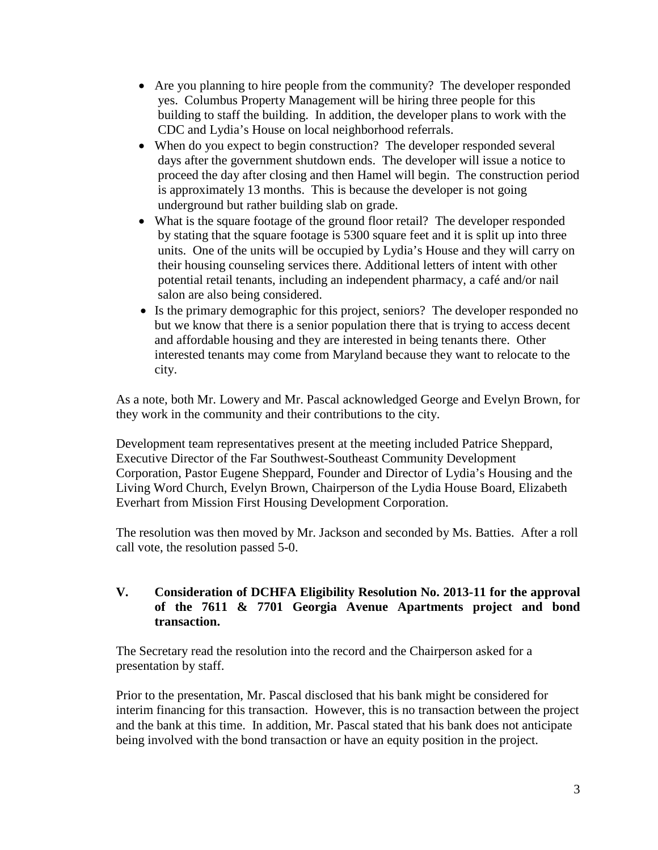- Are you planning to hire people from the community? The developer responded yes. Columbus Property Management will be hiring three people for this building to staff the building. In addition, the developer plans to work with the CDC and Lydia's House on local neighborhood referrals.
- When do you expect to begin construction? The developer responded several days after the government shutdown ends. The developer will issue a notice to proceed the day after closing and then Hamel will begin. The construction period is approximately 13 months. This is because the developer is not going underground but rather building slab on grade.
- What is the square footage of the ground floor retail? The developer responded by stating that the square footage is 5300 square feet and it is split up into three units. One of the units will be occupied by Lydia's House and they will carry on their housing counseling services there. Additional letters of intent with other potential retail tenants, including an independent pharmacy, a café and/or nail salon are also being considered.
- Is the primary demographic for this project, seniors? The developer responded no but we know that there is a senior population there that is trying to access decent and affordable housing and they are interested in being tenants there. Other interested tenants may come from Maryland because they want to relocate to the city.

As a note, both Mr. Lowery and Mr. Pascal acknowledged George and Evelyn Brown, for they work in the community and their contributions to the city.

Development team representatives present at the meeting included Patrice Sheppard, Executive Director of the Far Southwest-Southeast Community Development Corporation, Pastor Eugene Sheppard, Founder and Director of Lydia's Housing and the Living Word Church, Evelyn Brown, Chairperson of the Lydia House Board, Elizabeth Everhart from Mission First Housing Development Corporation.

The resolution was then moved by Mr. Jackson and seconded by Ms. Batties. After a roll call vote, the resolution passed 5-0.

### **V. Consideration of DCHFA Eligibility Resolution No. 2013-11 for the approval of the 7611 & 7701 Georgia Avenue Apartments project and bond transaction.**

The Secretary read the resolution into the record and the Chairperson asked for a presentation by staff.

Prior to the presentation, Mr. Pascal disclosed that his bank might be considered for interim financing for this transaction. However, this is no transaction between the project and the bank at this time. In addition, Mr. Pascal stated that his bank does not anticipate being involved with the bond transaction or have an equity position in the project.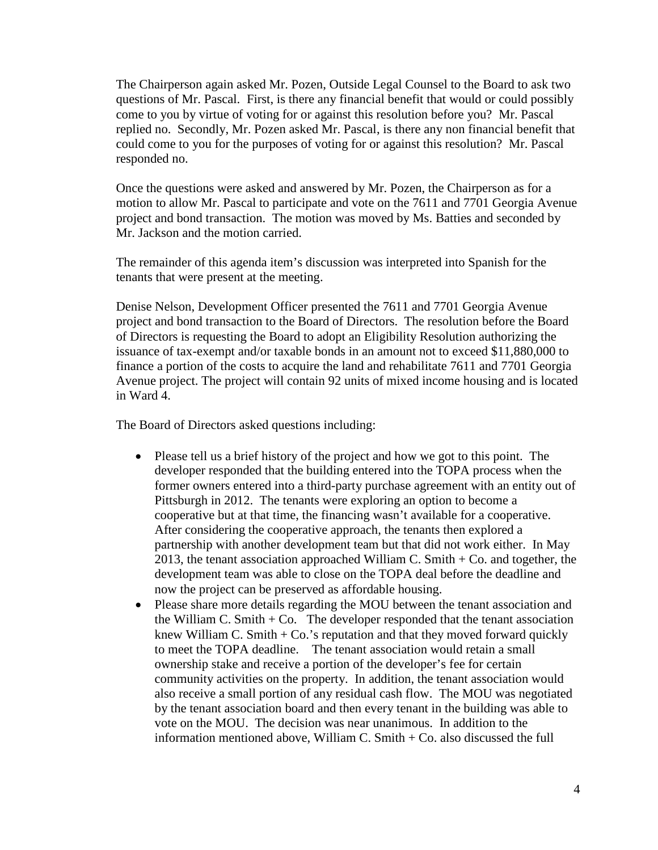The Chairperson again asked Mr. Pozen, Outside Legal Counsel to the Board to ask two questions of Mr. Pascal. First, is there any financial benefit that would or could possibly come to you by virtue of voting for or against this resolution before you? Mr. Pascal replied no. Secondly, Mr. Pozen asked Mr. Pascal, is there any non financial benefit that could come to you for the purposes of voting for or against this resolution? Mr. Pascal responded no.

Once the questions were asked and answered by Mr. Pozen, the Chairperson as for a motion to allow Mr. Pascal to participate and vote on the 7611 and 7701 Georgia Avenue project and bond transaction. The motion was moved by Ms. Batties and seconded by Mr. Jackson and the motion carried.

The remainder of this agenda item's discussion was interpreted into Spanish for the tenants that were present at the meeting.

Denise Nelson, Development Officer presented the 7611 and 7701 Georgia Avenue project and bond transaction to the Board of Directors. The resolution before the Board of Directors is requesting the Board to adopt an Eligibility Resolution authorizing the issuance of tax-exempt and/or taxable bonds in an amount not to exceed \$11,880,000 to finance a portion of the costs to acquire the land and rehabilitate 7611 and 7701 Georgia Avenue project. The project will contain 92 units of mixed income housing and is located in Ward 4.

The Board of Directors asked questions including:

- Please tell us a brief history of the project and how we got to this point. The developer responded that the building entered into the TOPA process when the former owners entered into a third-party purchase agreement with an entity out of Pittsburgh in 2012. The tenants were exploring an option to become a cooperative but at that time, the financing wasn't available for a cooperative. After considering the cooperative approach, the tenants then explored a partnership with another development team but that did not work either. In May 2013, the tenant association approached William C. Smith + Co. and together, the development team was able to close on the TOPA deal before the deadline and now the project can be preserved as affordable housing.
- Please share more details regarding the MOU between the tenant association and the William C. Smith  $+$  Co. The developer responded that the tenant association knew William C. Smith  $+$  Co.'s reputation and that they moved forward quickly to meet the TOPA deadline. The tenant association would retain a small ownership stake and receive a portion of the developer's fee for certain community activities on the property. In addition, the tenant association would also receive a small portion of any residual cash flow. The MOU was negotiated by the tenant association board and then every tenant in the building was able to vote on the MOU. The decision was near unanimous. In addition to the information mentioned above, William C. Smith + Co. also discussed the full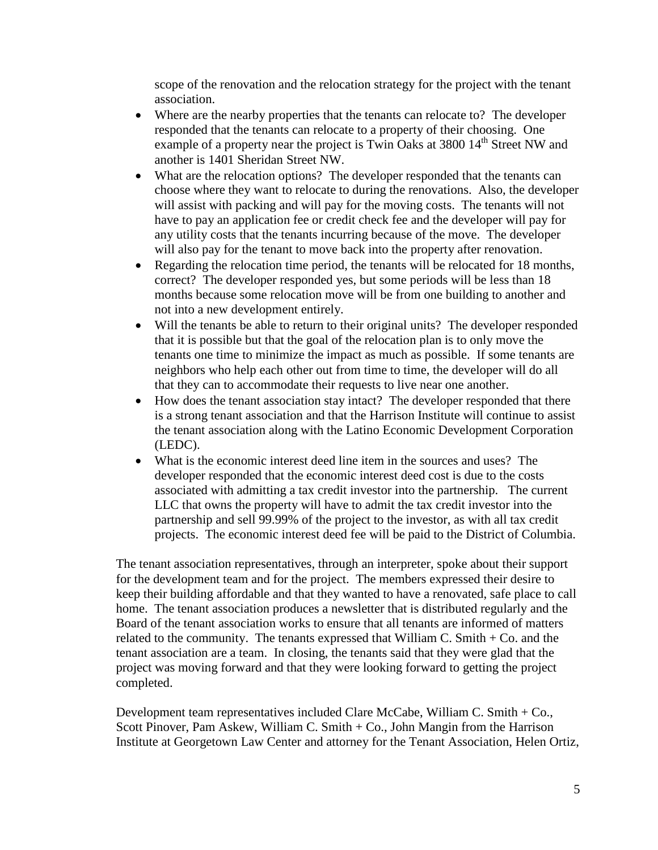scope of the renovation and the relocation strategy for the project with the tenant association.

- Where are the nearby properties that the tenants can relocate to? The developer responded that the tenants can relocate to a property of their choosing. One example of a property near the project is Twin Oaks at 3800 14<sup>th</sup> Street NW and another is 1401 Sheridan Street NW.
- What are the relocation options? The developer responded that the tenants can choose where they want to relocate to during the renovations. Also, the developer will assist with packing and will pay for the moving costs. The tenants will not have to pay an application fee or credit check fee and the developer will pay for any utility costs that the tenants incurring because of the move. The developer will also pay for the tenant to move back into the property after renovation.
- Regarding the relocation time period, the tenants will be relocated for 18 months, correct? The developer responded yes, but some periods will be less than 18 months because some relocation move will be from one building to another and not into a new development entirely.
- Will the tenants be able to return to their original units? The developer responded that it is possible but that the goal of the relocation plan is to only move the tenants one time to minimize the impact as much as possible. If some tenants are neighbors who help each other out from time to time, the developer will do all that they can to accommodate their requests to live near one another.
- How does the tenant association stay intact? The developer responded that there is a strong tenant association and that the Harrison Institute will continue to assist the tenant association along with the Latino Economic Development Corporation (LEDC).
- What is the economic interest deed line item in the sources and uses? The developer responded that the economic interest deed cost is due to the costs associated with admitting a tax credit investor into the partnership. The current LLC that owns the property will have to admit the tax credit investor into the partnership and sell 99.99% of the project to the investor, as with all tax credit projects. The economic interest deed fee will be paid to the District of Columbia.

The tenant association representatives, through an interpreter, spoke about their support for the development team and for the project. The members expressed their desire to keep their building affordable and that they wanted to have a renovated, safe place to call home. The tenant association produces a newsletter that is distributed regularly and the Board of the tenant association works to ensure that all tenants are informed of matters related to the community. The tenants expressed that William C. Smith + Co. and the tenant association are a team. In closing, the tenants said that they were glad that the project was moving forward and that they were looking forward to getting the project completed.

Development team representatives included Clare McCabe, William C. Smith + Co., Scott Pinover, Pam Askew, William C. Smith + Co., John Mangin from the Harrison Institute at Georgetown Law Center and attorney for the Tenant Association, Helen Ortiz,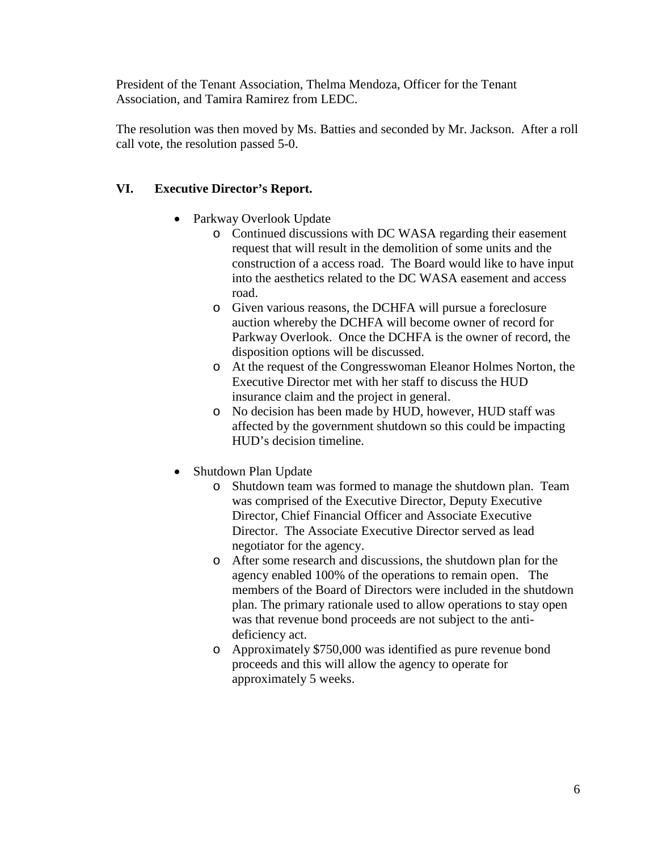President of the Tenant Association, Thelma Mendoza, Officer for the Tenant Association, and Tamira Ramirez from LEDC.

The resolution was then moved by Ms. Batties and seconded by Mr. Jackson. After a roll call vote, the resolution passed 5-0.

# **VI. Executive Director's Report.**

- Parkway Overlook Update
	- o Continued discussions with DC WASA regarding their easement request that will result in the demolition of some units and the construction of a access road. The Board would like to have input into the aesthetics related to the DC WASA easement and access road.
	- o Given various reasons, the DCHFA will pursue a foreclosure auction whereby the DCHFA will become owner of record for Parkway Overlook. Once the DCHFA is the owner of record, the disposition options will be discussed.
	- o At the request of the Congresswoman Eleanor Holmes Norton, the Executive Director met with her staff to discuss the HUD insurance claim and the project in general.
	- o No decision has been made by HUD, however, HUD staff was affected by the government shutdown so this could be impacting HUD's decision timeline.
- Shutdown Plan Update
	- o Shutdown team was formed to manage the shutdown plan. Team was comprised of the Executive Director, Deputy Executive Director, Chief Financial Officer and Associate Executive Director. The Associate Executive Director served as lead negotiator for the agency.
	- o After some research and discussions, the shutdown plan for the agency enabled 100% of the operations to remain open. The members of the Board of Directors were included in the shutdown plan. The primary rationale used to allow operations to stay open was that revenue bond proceeds are not subject to the antideficiency act.
	- o Approximately \$750,000 was identified as pure revenue bond proceeds and this will allow the agency to operate for approximately 5 weeks.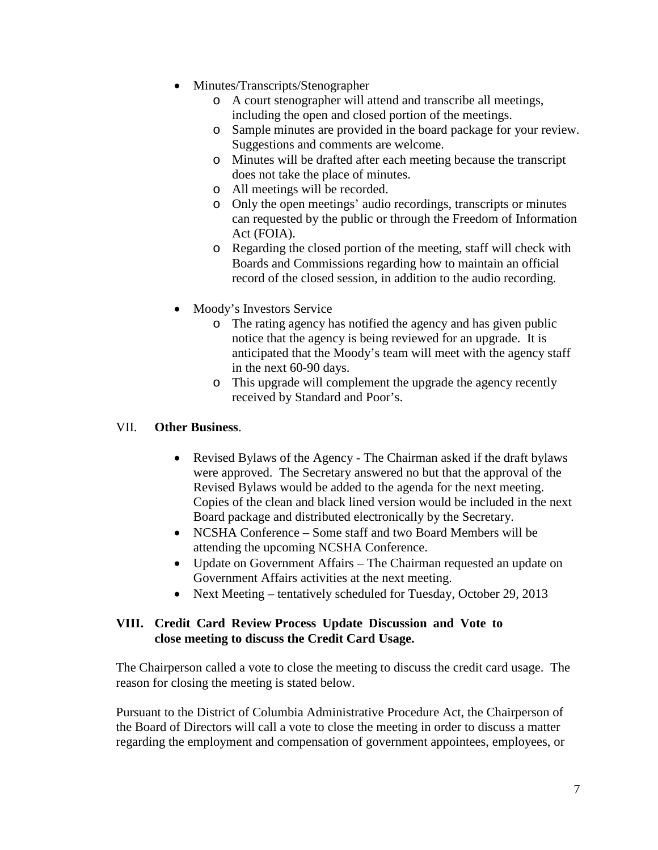- Minutes/Transcripts/Stenographer
	- o A court stenographer will attend and transcribe all meetings, including the open and closed portion of the meetings.
	- o Sample minutes are provided in the board package for your review. Suggestions and comments are welcome.
	- o Minutes will be drafted after each meeting because the transcript does not take the place of minutes.
	- o All meetings will be recorded.
	- o Only the open meetings' audio recordings, transcripts or minutes can requested by the public or through the Freedom of Information Act (FOIA).
	- o Regarding the closed portion of the meeting, staff will check with Boards and Commissions regarding how to maintain an official record of the closed session, in addition to the audio recording.
- Moody's Investors Service
	- o The rating agency has notified the agency and has given public notice that the agency is being reviewed for an upgrade. It is anticipated that the Moody's team will meet with the agency staff in the next 60-90 days.
	- o This upgrade will complement the upgrade the agency recently received by Standard and Poor's.

# VII. **Other Business**.

- Revised Bylaws of the Agency The Chairman asked if the draft bylaws were approved. The Secretary answered no but that the approval of the Revised Bylaws would be added to the agenda for the next meeting. Copies of the clean and black lined version would be included in the next Board package and distributed electronically by the Secretary.
- NCSHA Conference Some staff and two Board Members will be attending the upcoming NCSHA Conference.
- Update on Government Affairs The Chairman requested an update on Government Affairs activities at the next meeting.
- Next Meeting tentatively scheduled for Tuesday, October 29, 2013

### **VIII. Credit Card Review Process Update Discussion and Vote to close meeting to discuss the Credit Card Usage.**

The Chairperson called a vote to close the meeting to discuss the credit card usage. The reason for closing the meeting is stated below.

Pursuant to the District of Columbia Administrative Procedure Act, the Chairperson of the Board of Directors will call a vote to close the meeting in order to discuss a matter regarding the employment and compensation of government appointees, employees, or